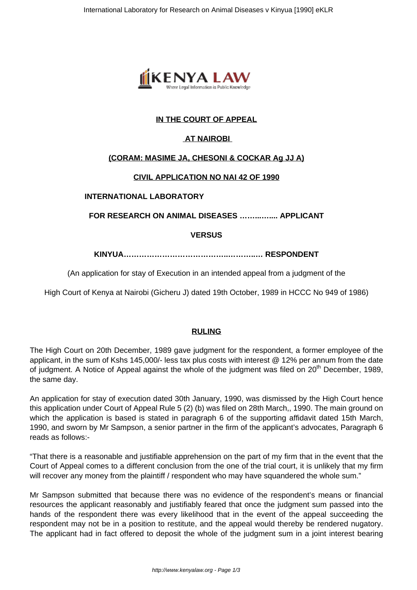

# **IN THE COURT OF APPEAL**

# **AT NAIROBI**

# **(CORAM: MASIME JA, CHESONI & COCKAR Ag JJ A)**

# **CIVIL APPLICATION NO NAI 42 OF 1990**

### **INTERNATIONAL LABORATORY**

### **FOR RESEARCH ON ANIMAL DISEASES ……...….... APPLICANT**

# **VERSUS**

**KINYUA…………………………………..………..… RESPONDENT**

# (An application for stay of Execution in an intended appeal from a judgment of the

High Court of Kenya at Nairobi (Gicheru J) dated 19th October, 1989 in HCCC No 949 of 1986)

### **RULING**

The High Court on 20th December, 1989 gave judgment for the respondent, a former employee of the applicant, in the sum of Kshs 145,000/- less tax plus costs with interest @ 12% per annum from the date of judgment. A Notice of Appeal against the whole of the judgment was filed on 20<sup>th</sup> December, 1989, the same day.

An application for stay of execution dated 30th January, 1990, was dismissed by the High Court hence this application under Court of Appeal Rule 5 (2) (b) was filed on 28th March,, 1990. The main ground on which the application is based is stated in paragraph 6 of the supporting affidavit dated 15th March, 1990, and sworn by Mr Sampson, a senior partner in the firm of the applicant's advocates, Paragraph 6 reads as follows:-

"That there is a reasonable and justifiable apprehension on the part of my firm that in the event that the Court of Appeal comes to a different conclusion from the one of the trial court, it is unlikely that my firm will recover any money from the plaintiff / respondent who may have squandered the whole sum."

Mr Sampson submitted that because there was no evidence of the respondent's means or financial resources the applicant reasonably and justifiably feared that once the judgment sum passed into the hands of the respondent there was every likelihood that in the event of the appeal succeeding the respondent may not be in a position to restitute, and the appeal would thereby be rendered nugatory. The applicant had in fact offered to deposit the whole of the judgment sum in a joint interest bearing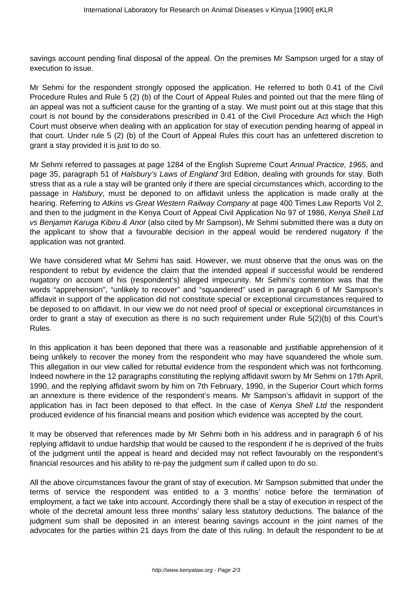savings account pending final disposal of the appeal. On the premises Mr Sampson urged for a stay of execution to issue.

Mr Sehmi for the respondent strongly opposed the application. He referred to both 0.41 of the Civil Procedure Rules and Rule 5 (2) (b) of the Court of Appeal Rules and pointed out that the mere filing of an appeal was not a sufficient cause for the granting of a stay. We must point out at this stage that this court is not bound by the considerations prescribed in 0.41 of the Civil Procedure Act which the High Court must observe when dealing with an application for stay of execution pending hearing of appeal in that court. Under rule 5 (2) (b) of the Court of Appeal Rules this court has an unfettered discretion to grant a stay provided it is just to do so.

Mr Sehmi referred to passages at page 1284 of the English Supreme Court Annual Practice, 1965, and page 35, paragraph 51 of Halsbury's Laws of England 3rd Edition, dealing with grounds for stay. Both stress that as a rule a stay will be granted only if there are special circumstances which, according to the passage in Halsbury, must be deponed to on affidavit unless the application is made orally at the hearing. Referring to Atkins vs Great Western Railway Company at page 400 Times Law Reports Vol 2, and then to the judgment in the Kenya Court of Appeal Civil Application No 97 of 1986, Kenya Shell Ltd vs Benjamin Karuga Kibiru & Anor (also cited by Mr Sampson), Mr Sehmi submitted there was a duty on the applicant to show that a favourable decision in the appeal would be rendered nugatory if the application was not granted.

We have considered what Mr Sehmi has said. However, we must observe that the onus was on the respondent to rebut by evidence the claim that the intended appeal if successful would be rendered nugatory on account of his (respondent's) alleged impecunity. Mr Sehmi's contention was that the words "apprehension", "unlikely to recover" and "squandered" used in paragraph 6 of Mr Sampson's affidavit in support of the application did not constitute special or exceptional circumstances required to be deposed to on affidavit. In our view we do not need proof of special or exceptional circumstances in order to grant a stay of execution as there is no such requirement under Rule 5(2)(b) of this Court's Rules.

In this application it has been deponed that there was a reasonable and justifiable apprehension of it being unlikely to recover the money from the respondent who may have squandered the whole sum. This allegation in our view called for rebuttal evidence from the respondent which was not forthcoming. Indeed nowhere in the 12 paragraphs constituting the replying affidavit sworn by Mr Sehmi on 17th April, 1990, and the replying affidavit sworn by him on 7th February, 1990, in the Superior Court which forms an annexture is there evidence of the respondent's means. Mr Sampson's affidavit in support of the application has in fact been deposed to that effect. In the case of Kenya Shell Ltd the respondent produced evidence of his financial means and position which evidence was accepted by the court.

It may be observed that references made by Mr Sehmi both in his address and in paragraph 6 of his replying affidavit to undue hardship that would be caused to the respondent if he is deprived of the fruits of the judgment until the appeal is heard and decided may not reflect favourably on the respondent's financial resources and his ability to re-pay the judgment sum if called upon to do so.

All the above circumstances favour the grant of stay of execution. Mr Sampson submitted that under the terms of service the respondent was entitled to a 3 months' notice before the termination of employment, a fact we take into account. Accordingly there shall be a stay of execution in respect of the whole of the decretal amount less three months' salary less statutory deductions. The balance of the judgment sum shall be deposited in an interest bearing savings account in the joint names of the advocates for the parties within 21 days from the date of this ruling. In default the respondent to be at